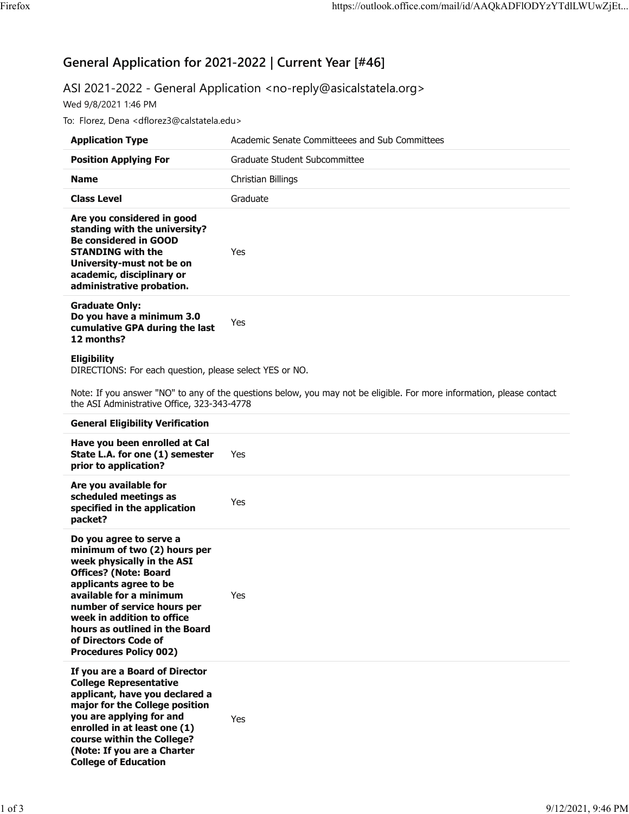# **General Application for 2021-2022 | Current Year [#46]**

# ASI 2021-2022 - General Application <no-reply@asicalstatela.org>

Wed 9/8/2021 1:46 PM

To: Florez, Dena <dflorez3@calstatela.edu>

| <b>Application Type</b>                                                                                                                                                                                        | Academic Senate Committeees and Sub Committees |
|----------------------------------------------------------------------------------------------------------------------------------------------------------------------------------------------------------------|------------------------------------------------|
| <b>Position Applying For</b>                                                                                                                                                                                   | Graduate Student Subcommittee                  |
| <b>Name</b>                                                                                                                                                                                                    | Christian Billings                             |
| <b>Class Level</b>                                                                                                                                                                                             | Graduate                                       |
| Are you considered in good<br>standing with the university?<br><b>Be considered in GOOD</b><br><b>STANDING with the</b><br>University-must not be on<br>academic, disciplinary or<br>administrative probation. | Yes                                            |
| <b>Graduate Only:</b><br>Do you have a minimum 3.0<br>cumulative GPA during the last<br>12 months?                                                                                                             | Yes                                            |

# **Eligibility**

DIRECTIONS: For each question, please select YES or NO.

Note: If you answer "NO" to any of the questions below, you may not be eligible. For more information, please contact the ASI Administrative Office, 323-343-4778

# **General Eligibility Verification**

**Have you been enrolled at Cal State L.A. for one (1) semester prior to application?** Yes **Are you available for**

| scheduled meetings as<br>specified in the application<br>packet?                                                                                                                                                                                                                                                                   | Yes        |
|------------------------------------------------------------------------------------------------------------------------------------------------------------------------------------------------------------------------------------------------------------------------------------------------------------------------------------|------------|
| Do you agree to serve a<br>minimum of two (2) hours per<br>week physically in the ASI<br><b>Offices? (Note: Board</b><br>applicants agree to be<br>available for a minimum<br>number of service hours per<br>week in addition to office<br>hours as outlined in the Board<br>of Directors Code of<br><b>Procedures Policy 002)</b> | <b>Yes</b> |
| If you are a Board of Director<br><b>College Representative</b><br>applicant, have you declared a<br>major for the College position<br>you are applying for and<br>enrolled in at least one (1)<br>course within the College?<br>(Note: If you are a Charter<br><b>College of Education</b>                                        | <b>Yes</b> |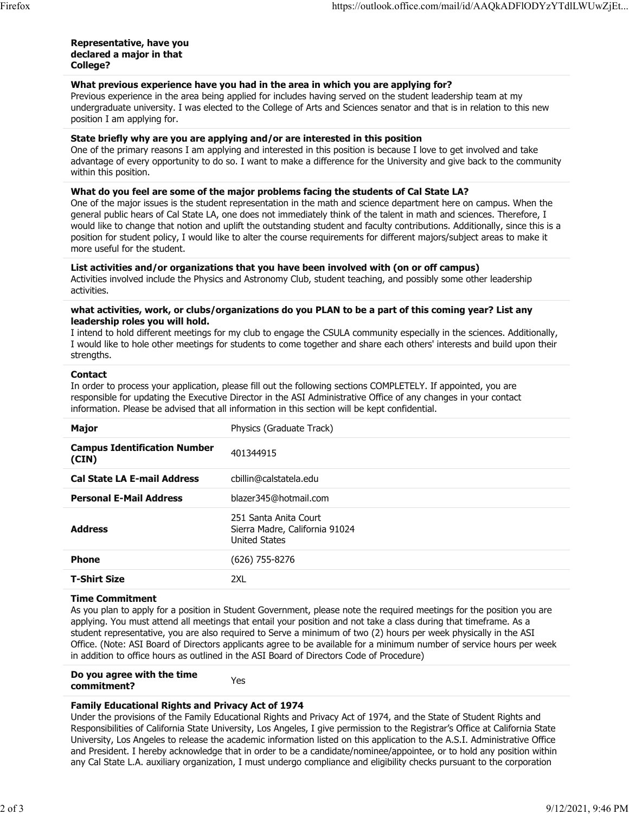#### **Representative, have you declared a major in that College?**

# **What previous experience have you had in the area in which you are applying for?**

Previous experience in the area being applied for includes having served on the student leadership team at my undergraduate university. I was elected to the College of Arts and Sciences senator and that is in relation to this new position I am applying for.

#### **State briefly why are you are applying and/or are interested in this position**

One of the primary reasons I am applying and interested in this position is because I love to get involved and take advantage of every opportunity to do so. I want to make a difference for the University and give back to the community within this position.

#### **What do you feel are some of the major problems facing the students of Cal State LA?**

One of the major issues is the student representation in the math and science department here on campus. When the general public hears of Cal State LA, one does not immediately think of the talent in math and sciences. Therefore, I would like to change that notion and uplift the outstanding student and faculty contributions. Additionally, since this is a position for student policy, I would like to alter the course requirements for different majors/subject areas to make it more useful for the student.

#### **List activities and/or organizations that you have been involved with (on or off campus)**

Activities involved include the Physics and Astronomy Club, student teaching, and possibly some other leadership activities.

#### **what activities, work, or clubs/organizations do you PLAN to be a part of this coming year? List any leadership roles you will hold.**

I intend to hold different meetings for my club to engage the CSULA community especially in the sciences. Additionally, I would like to hole other meetings for students to come together and share each others' interests and build upon their strengths.

#### **Contact**

In order to process your application, please fill out the following sections COMPLETELY. If appointed, you are responsible for updating the Executive Director in the ASI Administrative Office of any changes in your contact information. Please be advised that all information in this section will be kept confidential.

| <b>Major</b>                                 | Physics (Graduate Track)                                                        |
|----------------------------------------------|---------------------------------------------------------------------------------|
| <b>Campus Identification Number</b><br>(CIN) | 401344915                                                                       |
| <b>Cal State LA E-mail Address</b>           | cbillin@calstatela.edu                                                          |
| <b>Personal E-Mail Address</b>               | blazer345@hotmail.com                                                           |
| <b>Address</b>                               | 251 Santa Anita Court<br>Sierra Madre, California 91024<br><b>United States</b> |
| <b>Phone</b>                                 | (626) 755-8276                                                                  |
| <b>T-Shirt Size</b>                          | 2XL                                                                             |

# **Time Commitment**

As you plan to apply for a position in Student Government, please note the required meetings for the position you are applying. You must attend all meetings that entail your position and not take a class during that timeframe. As a student representative, you are also required to Serve a minimum of two (2) hours per week physically in the ASI Office. (Note: ASI Board of Directors applicants agree to be available for a minimum number of service hours per week in addition to office hours as outlined in the ASI Board of Directors Code of Procedure)

#### **Do you agree with the time commitment?** Yes

# **Family Educational Rights and Privacy Act of 1974**

Under the provisions of the Family Educational Rights and Privacy Act of 1974, and the State of Student Rights and Responsibilities of California State University, Los Angeles, I give permission to the Registrar's Office at California State University, Los Angeles to release the academic information listed on this application to the A.S.I. Administrative Office and President. I hereby acknowledge that in order to be a candidate/nominee/appointee, or to hold any position within any Cal State L.A. auxiliary organization, I must undergo compliance and eligibility checks pursuant to the corporation